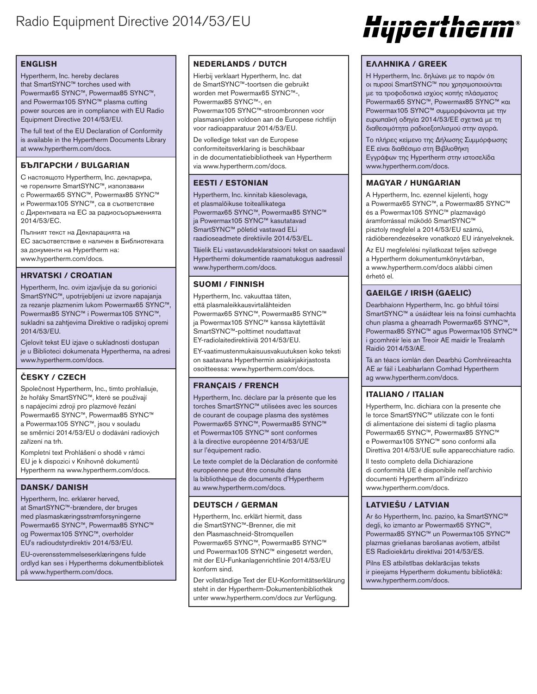## **ENGLISH**

Hypertherm, Inc. hereby declares that SmartSYNC™ torches used with Powermax65 SYNC™, Powermax85 SYNC™, and Powermax105 SYNC™ plasma cutting power sources are in compliance with EU Radio Equipment Directive 2014/53/EU.

The full text of the EU Declaration of Conformity is available in the Hypertherm Documents Library at www.hypertherm.com/docs.

## **БЪЛГАРСКИ / BULGARIAN**

С настоящото Hypertherm, Inc. декларира, че горелките SmartSYNC™, използвани с Powermax65 SYNC™, Powermax85 SYNC™ и Powermax105 SYNC™, са в съответствие

с Директивата на ЕС за радиосъоръженията 2014/53/EC.

Пълният текст на Декларацията на ЕС засъответствие е наличен в Библиотеката за документи на Hypertherm на: www.hypertherm.com/docs.

## **HRVATSKI / CROATIAN**

Hypertherm, Inc. ovim izjavljuje da su gorionici SmartSYNC™, upotrijebljeni uz izvore napajanja za rezanje plazmenim lukom Powermax65 SYNC™, Powermax85 SYNC™ i Powermax105 SYNC™, sukladni sa zahtjevima Direktive o radijskoj opremi 2014/53/EU.

Cjelovit tekst EU izjave o sukladnosti dostupan je u Biblioteci dokumenata Hypertherma, na adresi www.hypertherm.com/docs.

# **ČESKY / CZECH**

Společnost Hypertherm, Inc., tímto prohlašuje, že hořáky SmartSYNC™, které se používají s napájecími zdroji pro plazmové řezání Powermax65 SYNC™, Powermax85 SYNC™ a Powermax105 SYNC™, jsou v souladu se směrnicí 2014/53/EU o dodávání radiových zařízení na trh.

Kompletní text Prohlášení o shodě v rámci EU je k dispozici v Knihovně dokumentů Hypertherm na www.hypertherm.com/docs.

#### **DANSK/ DANISH**

Hypertherm, Inc. erklærer herved, at SmartSYNC™-brændere, der bruges med plasmaskæringsstrømforsyningerne Powermax65 SYNC™, Powermax85 SYNC™ og Powermax105 SYNC™, overholder EU's radioudstyrdirektiv 2014/53/EU.

EU-overensstemmelseserklæringens fulde ordlyd kan ses i Hypertherms dokumentbibliotek på www.hypertherm.com/docs.

#### **NEDERLANDS / DUTCH**

Hierbij verklaart Hypertherm, Inc. dat de SmartSYNC™-toortsen die gebruikt worden met Powermax65 SYNC™-, Powermax85 SYNC™-, en Powermax105 SYNC™-stroombronnen voor plasmasnijden voldoen aan de Europese richtlijn voor radioapparatuur 2014/53/EU.

De volledige tekst van de Europese conformiteitsverklaring is beschikbaar in de documentatiebibliotheek van Hypertherm via www.hypertherm.com/docs.

#### **EESTI / ESTONIAN**

Hypertherm, Inc. kinnitab käesolevaga, et plasmalõikuse toiteallikatega Powermax65 SYNC™, Powermax85 SYNC™ ja Powermax105 SYNC™ kasutatavad SmartSYNC™ põletid vastavad ELi raadioseadmete direktiivile 2014/53/EL.

Täielik ELi vastavusdeklaratsiooni tekst on saadaval Hyperthermi dokumentide raamatukogus aadressil www.hypertherm.com/docs.

#### **SUOMI / FINNISH**

Hypertherm, Inc. vakuuttaa täten, että plasmaleikkausvirtalähteiden Powermax65 SYNC™, Powermax85 SYNC™ ja Powermax105 SYNC™ kanssa käytettävät SmartSYNC™-polttimet noudattavat EY-radiolaitedirektiiviä 2014/53/EU.

EY-vaatimustenmukaisuusvakuutuksen koko teksti on saatavana Hyperthermin asiakirjakirjastosta osoitteessa: www.hypertherm.com/docs.

## **FRANÇAIS / FRENCH**

Hypertherm, Inc. déclare par la présente que les torches SmartSYNC™ utilisées avec les sources de courant de coupage plasma des systèmes Powermax65 SYNC™, Powermax85 SYNC™ et Powermax105 SYNC™ sont conformes à la directive européenne 2014/53/UE sur l'équipement radio.

Le texte complet de la Déclaration de conformité européenne peut être consulté dans la bibliothèque de documents d'Hypertherm au www.hypertherm.com/docs.

## **DEUTSCH / GERMAN**

Hypertherm, Inc. erklärt hiermit, dass die SmartSYNC™-Brenner, die mit den Plasmaschneid-Stromquellen Powermax65 SYNC™, Powermax85 SYNC™ und Powermax105 SYNC™ eingesetzt werden, mit der EU-Funkanlagenrichtlinie 2014/53/EU konform sind.

Der vollständige Text der EU-Konformitätserklärung steht in der Hypertherm-Dokumentenbibliothek unter www.hypertherm.com/docs zur Verfügung.

# Hypertherm®

#### **ΕΛΛΗΝΙΚΆ / GREEK**

Η Hypertherm, Inc. δηλώνει με το παρόν ότι οι πυρσοί SmartSYNC™ που χρησιμοποιούνται με τα τροφοδοτικά ισχύος κοπής πλάσματος Powermax65 SYNC™, Powermax85 SYNC™ και Powermax105 SYNC™ συμμορφώνονται με την ευρωπαϊκή οδηγία 2014/53/ΕΕ σχετικά με τη διαθεσιμότητα ραδιοεξοπλισμού στην αγορά.

Το πλήρες κείμενο της Δήλωσης Συμμόρφωσης ΕΕ είναι διαθέσιμο στη Βιβλιοθήκη Εγγράφων της Hypertherm στην ιστοσελίδα www.hypertherm.com/docs.

## **MAGYAR / HUNGARIAN**

A Hypertherm, Inc. ezennel kijelenti, hogy a Powermax65 SYNC™, a Powermax85 SYNC™ és a Powermax105 SYNC™ plazmavágó áramforrással működő SmartSYNC™ pisztoly megfelel a 2014/53/EU számú, rádióberendezésekre vonatkozó EU irányelveknek.

Az EU megfelelési nyilatkozat teljes szövege a Hypertherm dokumentumkönyvtárban, a www.hypertherm.com/docs alábbi címen érhető el.

## **GAEILGE / IRISH (GAELIC)**

Dearbhaíonn Hypertherm, Inc. go bhfuil tóirsí SmartSYNC™ a úsáidtear leis na foinsí cumhachta chun plasma a ghearradh Powermax65 SYNC™, Powermax85 SYNC™ agus Powermax105 SYNC™ i gcomhréir leis an Treoir AE maidir le Trealamh Raidió 2014/53/AE.

Tá an téacs iomlán den Dearbhú Comhréireachta AE ar fáil i Leabharlann Comhad Hypertherm ag www.hypertherm.com/docs.

## **ITALIANO / ITALIAN**

Hypertherm, Inc. dichiara con la presente che le torce SmartSYNC™ utilizzate con le fonti di alimentazione dei sistemi di taglio plasma Powermax65 SYNC™, Powermax85 SYNC™ e Powermax105 SYNC™ sono conformi alla Direttiva 2014/53/UE sulle apparecchiature radio.

Il testo completo della Dichiarazione di conformità UE è disponibile nell'archivio documenti Hypertherm all'indirizzo www.hypertherm.com/docs.

## **LATVIEŠU / LATVIAN**

Ar šo Hypertherm, Inc. paziņo, ka SmartSYNC™ degļi, ko izmanto ar Powermax65 SYNC™, Powermax85 SYNC™ un Powermax105 SYNC™ plazmas griešanas barošanas avotiem, atbilst ES Radioiekārtu direktīvai 2014/53/ES.

Pilns ES atbilstības deklarācijas teksts ir pieejams Hypertherm dokumentu bibliotēkā: www.hypertherm.com/docs.